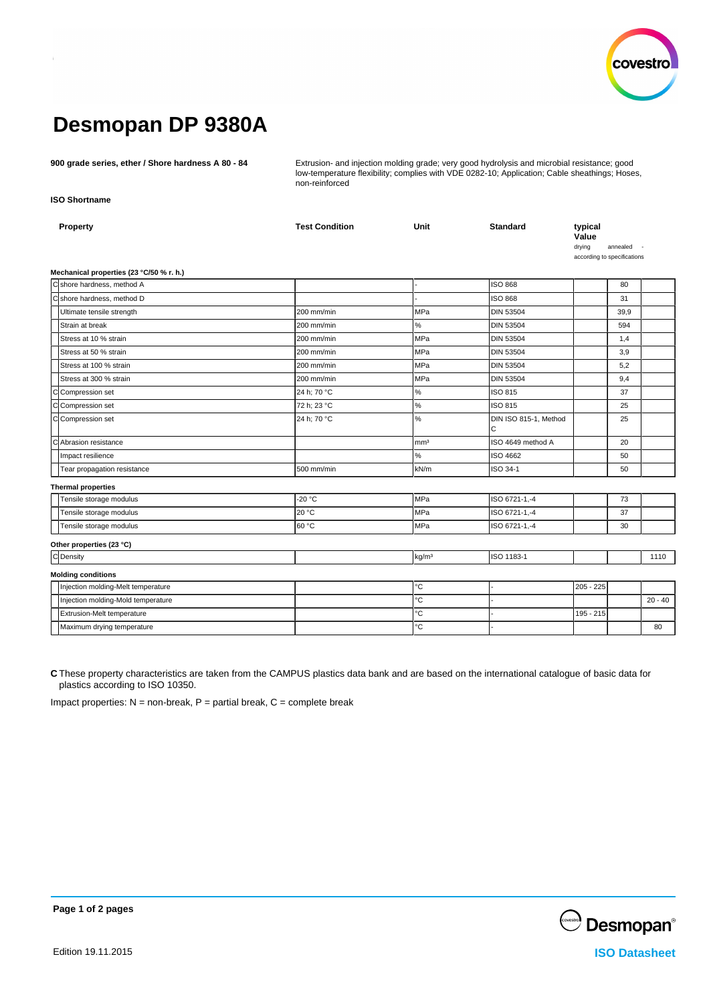

# **Desmopan DP 9380A**

**900 grade series, ether / Shore hardness A 80 - 84** Extrusion- and injection molding grade; very good hydrolysis and microbial resistance; good low-temperature flexibility; complies with VDE 0282-10; Application; Cable sheathings; Hoses, non-reinforced

**ISO Shortname**

| Property                                 | <b>Test Condition</b> | Unit              | <b>Standard</b>            | typical<br>Value<br>drying<br>according to specifications | annealed |           |
|------------------------------------------|-----------------------|-------------------|----------------------------|-----------------------------------------------------------|----------|-----------|
| Mechanical properties (23 °C/50 % r. h.) |                       |                   |                            |                                                           |          |           |
| Cshore hardness, method A                |                       |                   | <b>ISO 868</b>             |                                                           | 80       |           |
| C shore hardness, method D               |                       |                   | <b>ISO 868</b>             |                                                           | 31       |           |
| Ultimate tensile strength                | 200 mm/min            | MPa               | <b>DIN 53504</b>           |                                                           | 39,9     |           |
| Strain at break                          | 200 mm/min            | %                 | <b>DIN 53504</b>           |                                                           | 594      |           |
| Stress at 10 % strain                    | 200 mm/min            | MPa               | <b>DIN 53504</b>           |                                                           | 1,4      |           |
| Stress at 50 % strain                    | 200 mm/min            | MPa               | <b>DIN 53504</b>           |                                                           | 3,9      |           |
| Stress at 100 % strain                   | 200 mm/min            | MPa               | <b>DIN 53504</b>           |                                                           | 5,2      |           |
| Stress at 300 % strain                   | 200 mm/min            | MPa               | <b>DIN 53504</b>           |                                                           | 9,4      |           |
| C Compression set                        | 24 h; 70 °C           | $\%$              | ISO 815                    |                                                           | 37       |           |
| C Compression set                        | 72 h; 23 °C           | $\%$              | ISO 815                    |                                                           | 25       |           |
| CCompression set                         | 24 h; 70 °C           | $\%$              | DIN ISO 815-1, Method<br>C |                                                           | 25       |           |
| C Abrasion resistance                    |                       | mm <sup>3</sup>   | ISO 4649 method A          |                                                           | 20       |           |
| Impact resilience                        |                       | $\%$              | ISO 4662                   |                                                           | 50       |           |
| Tear propagation resistance              | 500 mm/min            | kN/m              | ISO 34-1                   |                                                           | 50       |           |
| <b>Thermal properties</b>                |                       |                   |                            |                                                           |          |           |
| Tensile storage modulus                  | $-20 °C$              | <b>MPa</b>        | ISO 6721-1,-4              |                                                           | 73       |           |
| Tensile storage modulus                  | 20 °C                 | MPa               | ISO 6721-1,-4              |                                                           | 37       |           |
| Tensile storage modulus                  | 60 °C                 | MPa               | ISO 6721-1,-4              |                                                           | 30       |           |
| Other properties (23 °C)                 |                       |                   |                            |                                                           |          |           |
| C Density                                |                       | kg/m <sup>3</sup> | ISO 1183-1                 |                                                           |          | 1110      |
| <b>Molding conditions</b>                |                       |                   |                            |                                                           |          |           |
| Injection molding-Melt temperature       |                       | °C                |                            | 205 - 225                                                 |          |           |
| Injection molding-Mold temperature       |                       | $^{\circ}{\rm C}$ |                            |                                                           |          | $20 - 40$ |
| Extrusion-Melt temperature               |                       | °C                |                            | 195 - 215                                                 |          |           |
| Maximum drying temperature               |                       | $^{\circ}{\rm C}$ |                            |                                                           |          | 80        |
|                                          |                       |                   |                            |                                                           |          |           |

**C** These property characteristics are taken from the CAMPUS plastics data bank and are based on the international catalogue of basic data for plastics according to ISO 10350.

Impact properties:  $N =$  non-break,  $P =$  partial break,  $C =$  complete break



**Page 1 of 2 pages**